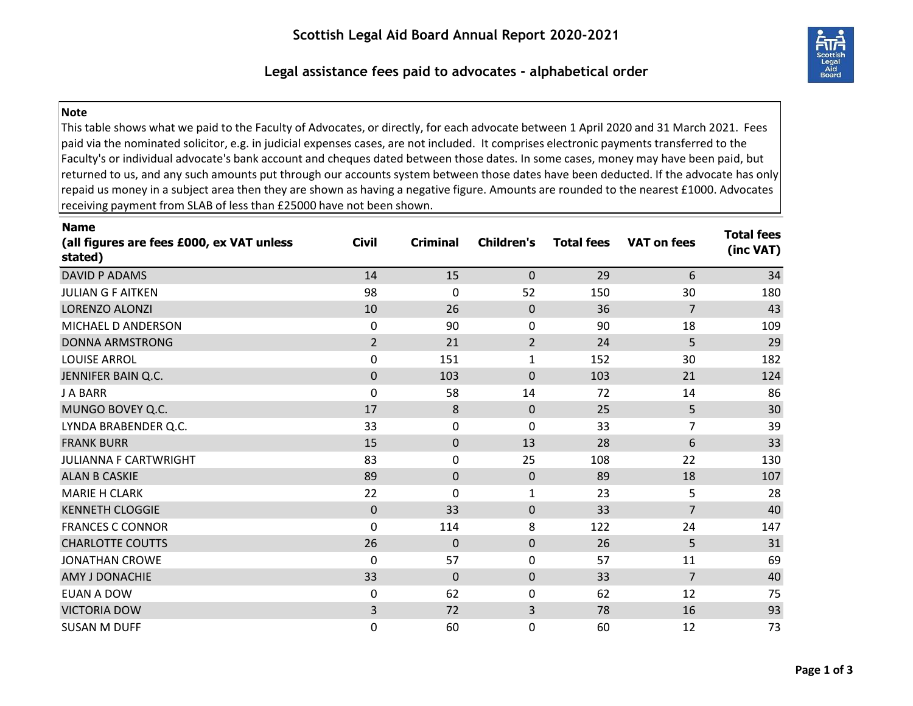

## **Legal assistance fees paid to advocates - alphabetical order**

## **Note**

This table shows what we paid to the Faculty of Advocates, or directly, for each advocate between 1 April 2020 and 31 March 2021. Fees paid via the nominated solicitor, e.g. in judicial expenses cases, are not included. It comprises electronic payments transferred to the Faculty's or individual advocate's bank account and cheques dated between those dates. In some cases, money may have been paid, but returned to us, and any such amounts put through our accounts system between those dates have been deducted. If the advocate has only repaid us money in a subject area then they are shown as having a negative figure. Amounts are rounded to the nearest £1000. Advocates receiving payment from SLAB of less than £25000 have not been shown.

| <b>Name</b><br>(all figures are fees £000, ex VAT unless<br>stated) | <b>Civil</b>   | <b>Criminal</b> | <b>Children's</b> | <b>Total fees</b> | <b>VAT on fees</b> | <b>Total fees</b><br>(inc VAT) |
|---------------------------------------------------------------------|----------------|-----------------|-------------------|-------------------|--------------------|--------------------------------|
| DAVID P ADAMS                                                       | 14             | 15              | $\mathbf{0}$      | 29                | 6                  | 34                             |
| <b>JULIAN G F AITKEN</b>                                            | 98             | 0               | 52                | 150               | 30                 | 180                            |
| <b>LORENZO ALONZI</b>                                               | 10             | 26              | $\Omega$          | 36                | $\overline{7}$     | 43                             |
| MICHAEL D ANDERSON                                                  | 0              | 90              | 0                 | 90                | 18                 | 109                            |
| <b>DONNA ARMSTRONG</b>                                              | $\overline{2}$ | 21              | $\overline{2}$    | 24                | 5                  | 29                             |
| <b>LOUISE ARROL</b>                                                 | 0              | 151             | $\mathbf{1}$      | 152               | 30                 | 182                            |
| JENNIFER BAIN Q.C.                                                  | $\mathbf 0$    | 103             | $\Omega$          | 103               | 21                 | 124                            |
| <b>J A BARR</b>                                                     | 0              | 58              | 14                | 72                | 14                 | 86                             |
| MUNGO BOVEY Q.C.                                                    | 17             | 8               | 0                 | 25                | 5                  | 30                             |
| LYNDA BRABENDER Q.C.                                                | 33             | 0               | 0                 | 33                | $\overline{7}$     | 39                             |
| <b>FRANK BURR</b>                                                   | 15             | 0               | 13                | 28                | 6                  | 33                             |
| JULIANNA F CARTWRIGHT                                               | 83             | 0               | 25                | 108               | 22                 | 130                            |
| <b>ALAN B CASKIE</b>                                                | 89             | 0               | $\mathbf 0$       | 89                | 18                 | 107                            |
| <b>MARIE H CLARK</b>                                                | 22             | $\mathbf{0}$    | $\mathbf{1}$      | 23                | 5                  | 28                             |
| <b>KENNETH CLOGGIE</b>                                              | $\mathbf 0$    | 33              | $\mathbf 0$       | 33                | $\overline{7}$     | 40                             |
| <b>FRANCES C CONNOR</b>                                             | 0              | 114             | 8                 | 122               | 24                 | 147                            |
| <b>CHARLOTTE COUTTS</b>                                             | 26             | $\mathbf 0$     | $\mathbf 0$       | 26                | 5                  | 31                             |
| <b>JONATHAN CROWE</b>                                               | $\mathbf 0$    | 57              | 0                 | 57                | 11                 | 69                             |
| AMY J DONACHIE                                                      | 33             | $\mathbf 0$     | 0                 | 33                | $\overline{7}$     | 40                             |
| EUAN A DOW                                                          | 0              | 62              | 0                 | 62                | 12                 | 75                             |
| <b>VICTORIA DOW</b>                                                 | $\mathsf{3}$   | 72              | 3                 | 78                | 16                 | 93                             |
| <b>SUSAN M DUFF</b>                                                 | 0              | 60              | 0                 | 60                | 12                 | 73                             |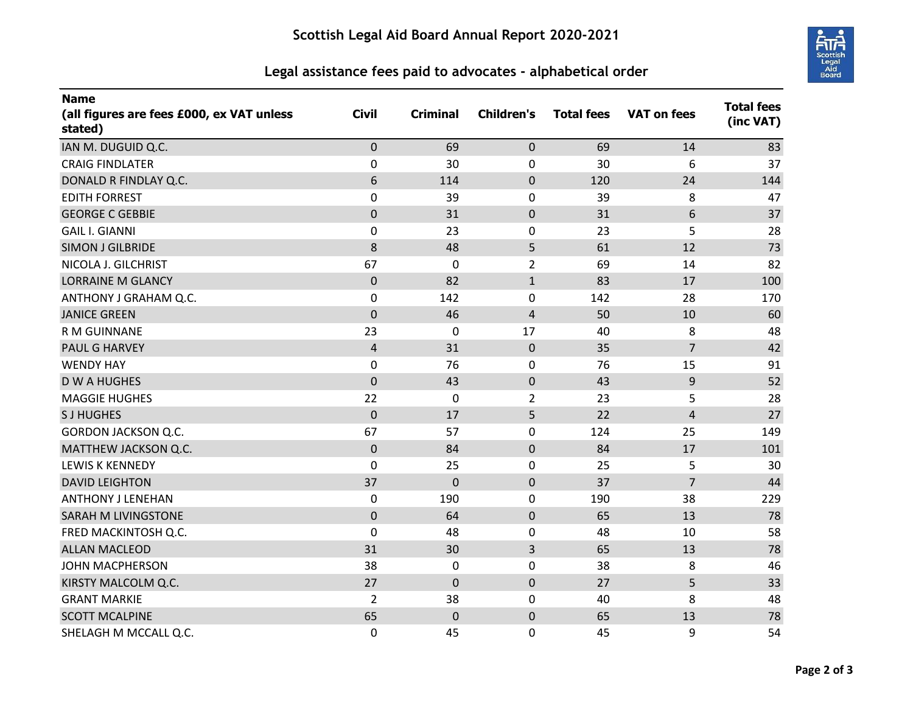

## **Legal assistance fees paid to advocates - alphabetical order**

| <b>Name</b><br>(all figures are fees £000, ex VAT unless<br>stated) | <b>Civil</b>   | <b>Criminal</b> | <b>Children's</b> | <b>Total fees</b> | <b>VAT on fees</b> | <b>Total fees</b><br>(inc VAT) |
|---------------------------------------------------------------------|----------------|-----------------|-------------------|-------------------|--------------------|--------------------------------|
| IAN M. DUGUID Q.C.                                                  | $\mathbf 0$    | 69              | $\mathbf 0$       | 69                | 14                 | 83                             |
| <b>CRAIG FINDLATER</b>                                              | $\mathbf 0$    | 30              | 0                 | 30                | 6                  | 37                             |
| DONALD R FINDLAY Q.C.                                               | 6              | 114             | $\pmb{0}$         | 120               | 24                 | 144                            |
| <b>EDITH FORREST</b>                                                | $\mathbf 0$    | 39              | 0                 | 39                | 8                  | 47                             |
| <b>GEORGE C GEBBIE</b>                                              | $\mathbf 0$    | 31              | $\mathbf 0$       | 31                | 6                  | 37                             |
| <b>GAIL I. GIANNI</b>                                               | $\mathbf 0$    | 23              | 0                 | 23                | 5                  | 28                             |
| <b>SIMON J GILBRIDE</b>                                             | 8              | 48              | 5                 | 61                | 12                 | 73                             |
| NICOLA J. GILCHRIST                                                 | 67             | $\mathbf 0$     | $\overline{2}$    | 69                | 14                 | 82                             |
| <b>LORRAINE M GLANCY</b>                                            | $\mathbf 0$    | 82              | $\mathbf{1}$      | 83                | 17                 | 100                            |
| ANTHONY J GRAHAM Q.C.                                               | $\mathbf 0$    | 142             | 0                 | 142               | 28                 | 170                            |
| <b>JANICE GREEN</b>                                                 | $\mathbf 0$    | 46              | $\overline{4}$    | 50                | 10                 | 60                             |
| R M GUINNANE                                                        | 23             | 0               | 17                | 40                | 8                  | 48                             |
| <b>PAUL G HARVEY</b>                                                | $\overline{4}$ | 31              | $\pmb{0}$         | 35                | $\overline{7}$     | 42                             |
| <b>WENDY HAY</b>                                                    | $\mathbf 0$    | 76              | 0                 | 76                | 15                 | 91                             |
| <b>DWAHUGHES</b>                                                    | $\mathbf 0$    | 43              | $\pmb{0}$         | 43                | 9                  | 52                             |
| <b>MAGGIE HUGHES</b>                                                | 22             | 0               | $\overline{2}$    | 23                | 5                  | 28                             |
| <b>SJHUGHES</b>                                                     | $\mathbf 0$    | 17              | 5                 | 22                | 4                  | 27                             |
| <b>GORDON JACKSON Q.C.</b>                                          | 67             | 57              | 0                 | 124               | 25                 | 149                            |
| MATTHEW JACKSON Q.C.                                                | $\pmb{0}$      | 84              | $\mathbf 0$       | 84                | 17                 | 101                            |
| <b>LEWIS K KENNEDY</b>                                              | $\mathbf 0$    | 25              | $\pmb{0}$         | 25                | 5                  | 30                             |
| <b>DAVID LEIGHTON</b>                                               | 37             | $\mathbf 0$     | $\mathbf 0$       | 37                | $\overline{7}$     | 44                             |
| <b>ANTHONY J LENEHAN</b>                                            | 0              | 190             | 0                 | 190               | 38                 | 229                            |
| SARAH M LIVINGSTONE                                                 | $\overline{0}$ | 64              | $\overline{0}$    | 65                | 13                 | 78                             |
| FRED MACKINTOSH Q.C.                                                | $\mathbf 0$    | 48              | 0                 | 48                | 10                 | 58                             |
| <b>ALLAN MACLEOD</b>                                                | 31             | 30              | 3                 | 65                | 13                 | 78                             |
| <b>JOHN MACPHERSON</b>                                              | 38             | $\mathbf 0$     | 0                 | 38                | 8                  | 46                             |
| KIRSTY MALCOLM Q.C.                                                 | 27             | $\mathbf 0$     | $\mathbf 0$       | 27                | 5                  | 33                             |
| <b>GRANT MARKIE</b>                                                 | $\overline{2}$ | 38              | 0                 | 40                | 8                  | 48                             |
| <b>SCOTT MCALPINE</b>                                               | 65             | $\mathbf 0$     | $\pmb{0}$         | 65                | 13                 | 78                             |
| SHELAGH M MCCALL Q.C.                                               | 0              | 45              | 0                 | 45                | 9                  | 54                             |